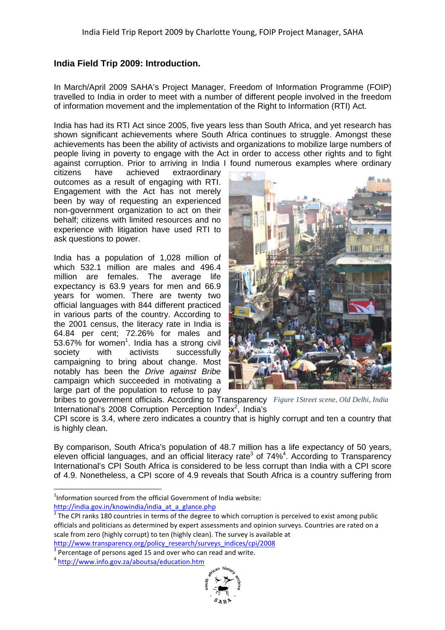## **India Field Trip 2009: Introduction.**

In March/April 2009 SAHA's Project Manager, Freedom of Information Programme (FOIP) travelled to India in order to meet with a number of different people involved in the freedom of information movement and the implementation of the Right to Information (RTI) Act.

India has had its RTI Act since 2005, five years less than South A Africa, and yet research has shown significant achievements where South Africa continues to struggle. Amongst these achievements has been the ability of activists and organizations to mobilize large numbers of people living in poverty to engage with the Act in order to access other rights and to fight against corruption. Prior to arriving in India I found numerous examples where frica, and yet research has<br>ty struggle. Amongst these<br>impolize large numbers of<br>ss other rights and to fight<br>examples where ordinary

citizens have achieved outcomes as a result of engaging with RTI. Engagement with the Act has not merely been by way of requesting an experienced non-government organization to act on their behalf; citizens with limited resources and no experience with litigation have used RTI to ask questions to power. extraordinary

India has a population of 1,028 million of which 532.1 million are males and 496.4 million are females. The average life expectancy is 63.9 years for men and 66.9 years for women. There are twenty two official languages with 844 different practiced in various parts of the country. According to the 2001 census, the literacy rate in India is 64.84 per cent; 72.26% for males and 53.67% for women<sup>1</sup>. India has a strong civil society with activists successfully campaigning to bring about change. Most notably has been the Drive against Bribe campaign which succeeded in motivating a large part of the population to refuse to pay government organization to act on their<br>alf; citizens with limited resources and no<br>rience with litigation have used RTI to<br>questions to power.<br>a has a population of 1,028 million of<br>h 532.1 million are males and 496.4<br>on



bribes to government officials. According to Transparency Figure 1 Street scene, Old Delhi, India International's 2008 Corruption Perception Index<sup>2</sup>, India's

CPI score is 3.4, where zero indicates a country that is highly corrupt and ten a country that<br>is highly clean.<br>By comparison, South Africa's population of 48.7 million has a life expectancy of 50 years, is highly clean.

By comparison. South Africa's population of 48.7 million has a life expectancy of 50 years. eleven official languages, and an official literacy rate<sup>3</sup> of 74%<sup>4</sup>. According to Transparency International's CPI South Africa is considered to be less corrupt than India with a CPI score of 4.9. Nonetheless, a CPI score of 4.9 reveals that South Africa is a country suffering from .

 $\overline{a}$ 

 $\overline{a}$ 



 $1$ Information sourced from the official Government of India website: http://india.gov.in/knowindia/india\_at\_a\_glance.php

 $2$  The CPI ranks 180 countries in terms of the degree to which corruption is perceived to exist among public officials and politicians as determined by expert assessments and opinion surveys. Countries are rated on a scale from zero (highly corrupt) to ten (highly clean). The survey is available at http://www.transparency.org/policy\_research/surveys\_indices/cpi/2008 http://www.transparency.org/policy\_research/surveys\_indices/cpi/2008

 $3$  Percentage of persons aged 15 and over who can read and write.

<sup>&</sup>lt;sup>4</sup> http://www.info.gov.za/aboutsa/education.htm